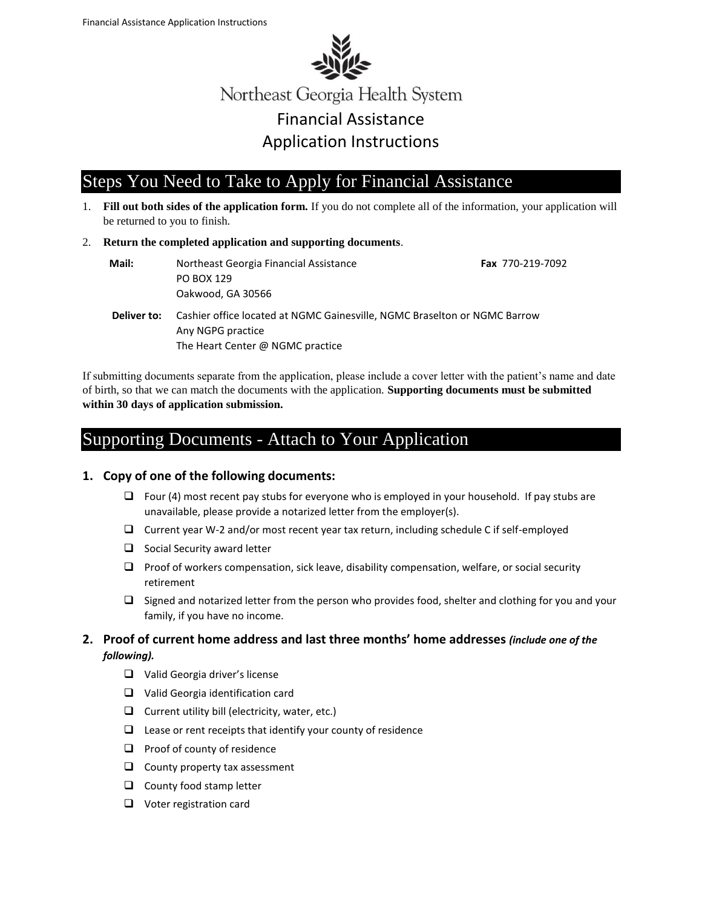

Northeast Georgia Health System Financial Assistance Application Instructions

# Steps You Need to Take to Apply for Financial Assistance

- 1. **Fill out both sides of the application form.** If you do not complete all of the information, your application will be returned to you to finish.
- 2. **Return the completed application and supporting documents**.

| Mail:       | Northeast Georgia Financial Assistance<br>PO BOX 129<br>Oakwood, GA 30566                                                          | <b>Fax</b> 770-219-7092 |
|-------------|------------------------------------------------------------------------------------------------------------------------------------|-------------------------|
| Deliver to: | Cashier office located at NGMC Gainesville, NGMC Braselton or NGMC Barrow<br>Any NGPG practice<br>The Heart Center @ NGMC practice |                         |

If submitting documents separate from the application, please include a cover letter with the patient's name and date of birth, so that we can match the documents with the application. **Supporting documents must be submitted within 30 days of application submission.**

## Supporting Documents - Attach to Your Application

#### **1. Copy of one of the following documents:**

- $\Box$  Four (4) most recent pay stubs for everyone who is employed in your household. If pay stubs are unavailable, please provide a notarized letter from the employer(s).
- Current year W-2 and/or most recent year tax return, including schedule C if self-employed
- $\Box$  Social Security award letter
- $\Box$  Proof of workers compensation, sick leave, disability compensation, welfare, or social security retirement
- $\Box$  Signed and notarized letter from the person who provides food, shelter and clothing for you and your family, if you have no income.
- **2. Proof of current home address and last three months' home addresses** *(include one of the following).* 
	- □ Valid Georgia driver's license
	- □ Valid Georgia identification card
	- $\Box$  Current utility bill (electricity, water, etc.)
	- $\Box$  Lease or rent receipts that identify your county of residence
	- $\Box$  Proof of county of residence
	- $\Box$  County property tax assessment
	- $\Box$  County food stamp letter
	- □ Voter registration card